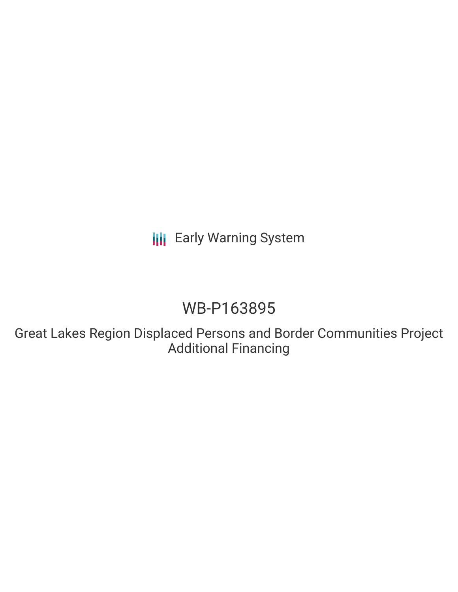**III** Early Warning System

# WB-P163895

Great Lakes Region Displaced Persons and Border Communities Project Additional Financing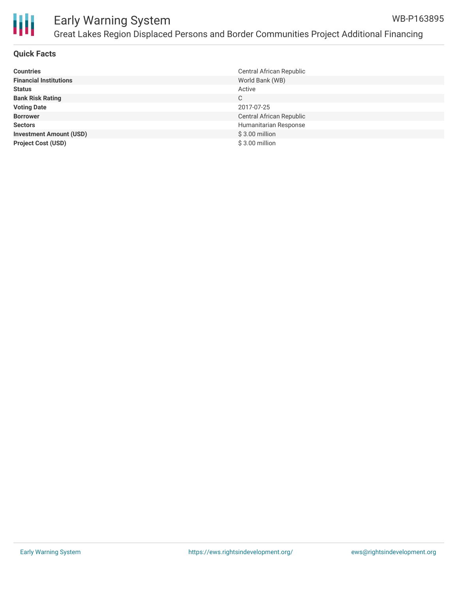

#### Early Warning System Great Lakes Region Displaced Persons and Border Communities Project Additional Financing WB-P163895

#### **Quick Facts**

| <b>Countries</b>               | Central African Republic |
|--------------------------------|--------------------------|
| <b>Financial Institutions</b>  | World Bank (WB)          |
| <b>Status</b>                  | Active                   |
| <b>Bank Risk Rating</b>        | C                        |
| <b>Voting Date</b>             | 2017-07-25               |
| <b>Borrower</b>                | Central African Republic |
| <b>Sectors</b>                 | Humanitarian Response    |
| <b>Investment Amount (USD)</b> | $$3.00$ million          |
| <b>Project Cost (USD)</b>      | $$3.00$ million          |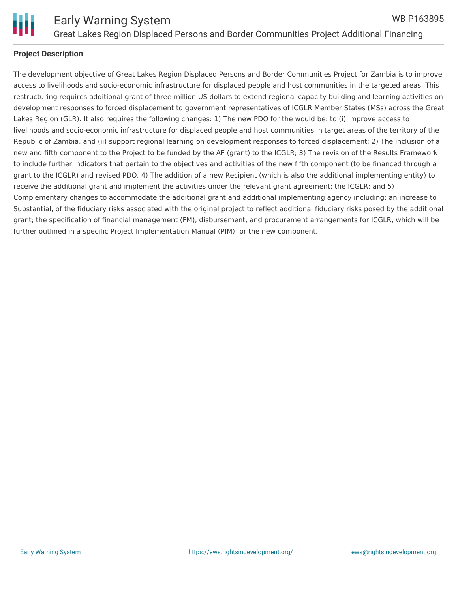

## **Project Description**

The development objective of Great Lakes Region Displaced Persons and Border Communities Project for Zambia is to improve access to livelihoods and socio-economic infrastructure for displaced people and host communities in the targeted areas. This restructuring requires additional grant of three million US dollars to extend regional capacity building and learning activities on development responses to forced displacement to government representatives of ICGLR Member States (MSs) across the Great Lakes Region (GLR). It also requires the following changes: 1) The new PDO for the would be: to (i) improve access to livelihoods and socio-economic infrastructure for displaced people and host communities in target areas of the territory of the Republic of Zambia, and (ii) support regional learning on development responses to forced displacement; 2) The inclusion of a new and fifth component to the Project to be funded by the AF (grant) to the ICGLR; 3) The revision of the Results Framework to include further indicators that pertain to the objectives and activities of the new fifth component (to be financed through a grant to the ICGLR) and revised PDO. 4) The addition of a new Recipient (which is also the additional implementing entity) to receive the additional grant and implement the activities under the relevant grant agreement: the ICGLR; and 5) Complementary changes to accommodate the additional grant and additional implementing agency including: an increase to Substantial, of the fiduciary risks associated with the original project to reflect additional fiduciary risks posed by the additional grant; the specification of financial management (FM), disbursement, and procurement arrangements for ICGLR, which will be further outlined in a specific Project Implementation Manual (PIM) for the new component.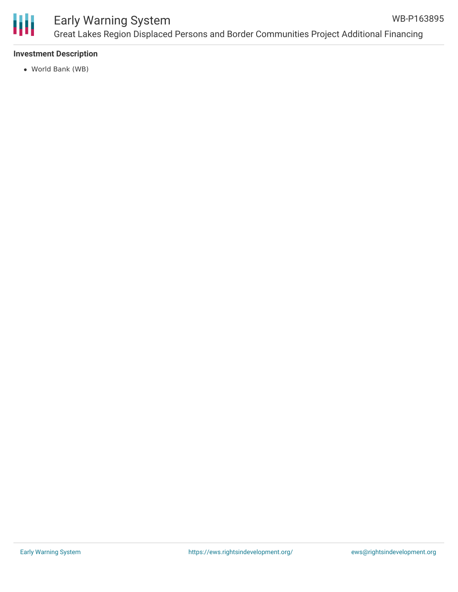

## Early Warning System Great Lakes Region Displaced Persons and Border Communities Project Additional Financing WB-P163895

### **Investment Description**

World Bank (WB)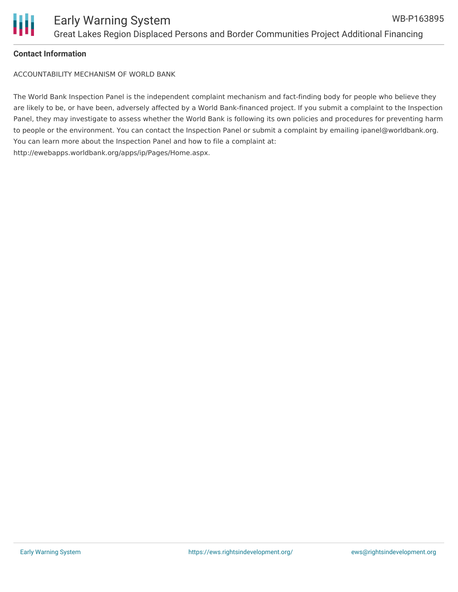

### **Contact Information**

ACCOUNTABILITY MECHANISM OF WORLD BANK

The World Bank Inspection Panel is the independent complaint mechanism and fact-finding body for people who believe they are likely to be, or have been, adversely affected by a World Bank-financed project. If you submit a complaint to the Inspection Panel, they may investigate to assess whether the World Bank is following its own policies and procedures for preventing harm to people or the environment. You can contact the Inspection Panel or submit a complaint by emailing ipanel@worldbank.org. You can learn more about the Inspection Panel and how to file a complaint at: http://ewebapps.worldbank.org/apps/ip/Pages/Home.aspx.